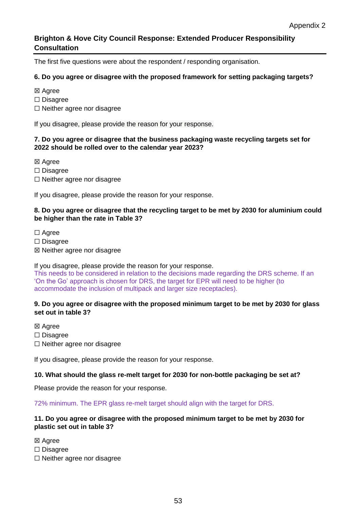# **Brighton & Hove City Council Response: Extended Producer Responsibility Consultation**

The first five questions were about the respondent / responding organisation.

### **6. Do you agree or disagree with the proposed framework for setting packaging targets?**

- ⊠ Agree
- ☐ Disagree
- ☐ Neither agree nor disagree

If you disagree, please provide the reason for your response.

## **7. Do you agree or disagree that the business packaging waste recycling targets set for 2022 should be rolled over to the calendar year 2023?**

- ☒ Agree
- ☐ Disagree
- ☐ Neither agree nor disagree

If you disagree, please provide the reason for your response.

## **8. Do you agree or disagree that the recycling target to be met by 2030 for aluminium could be higher than the rate in Table 3?**

- ☐ Agree
- ☐ Disagree
- ☒ Neither agree nor disagree

If you disagree, please provide the reason for your response.

This needs to be considered in relation to the decisions made regarding the DRS scheme. If an 'On the Go' approach is chosen for DRS, the target for EPR will need to be higher (to accommodate the inclusion of multipack and larger size receptacles).

### **9. Do you agree or disagree with the proposed minimum target to be met by 2030 for glass set out in table 3?**

- ☒ Agree
- ☐ Disagree
- ☐ Neither agree nor disagree

If you disagree, please provide the reason for your response.

### **10. What should the glass re-melt target for 2030 for non-bottle packaging be set at?**

Please provide the reason for your response.

72% minimum. The EPR glass re-melt target should align with the target for DRS.

## **11. Do you agree or disagree with the proposed minimum target to be met by 2030 for plastic set out in table 3?**

⊠ Agree

- ☐ Disagree
- ☐ Neither agree nor disagree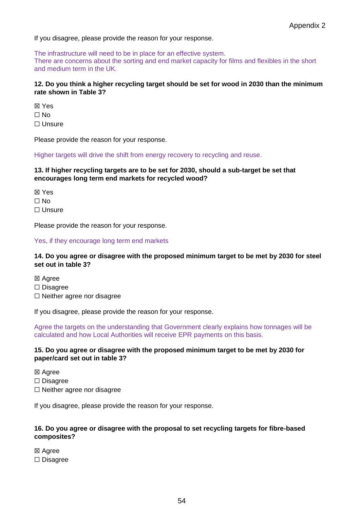If you disagree, please provide the reason for your response.

The infrastructure will need to be in place for an effective system. There are concerns about the sorting and end market capacity for films and flexibles in the short and medium term in the UK.

## **12. Do you think a higher recycling target should be set for wood in 2030 than the minimum rate shown in Table 3?**

☒ Yes ☐ No ☐ Unsure

Please provide the reason for your response.

Higher targets will drive the shift from energy recovery to recycling and reuse.

## **13. If higher recycling targets are to be set for 2030, should a sub-target be set that encourages long term end markets for recycled wood?**

☒ Yes ☐ No ☐ Unsure

Please provide the reason for your response.

#### Yes, if they encourage long term end markets

## **14. Do you agree or disagree with the proposed minimum target to be met by 2030 for steel set out in table 3?**

☒ Agree

☐ Disagree

☐ Neither agree nor disagree

If you disagree, please provide the reason for your response.

Agree the targets on the understanding that Government clearly explains how tonnages will be calculated and how Local Authorities will receive EPR payments on this basis.

### **15. Do you agree or disagree with the proposed minimum target to be met by 2030 for paper/card set out in table 3?**

☒ Agree

☐ Disagree

☐ Neither agree nor disagree

If you disagree, please provide the reason for your response.

## **16. Do you agree or disagree with the proposal to set recycling targets for fibre-based composites?**

☒ Agree ☐ Disagree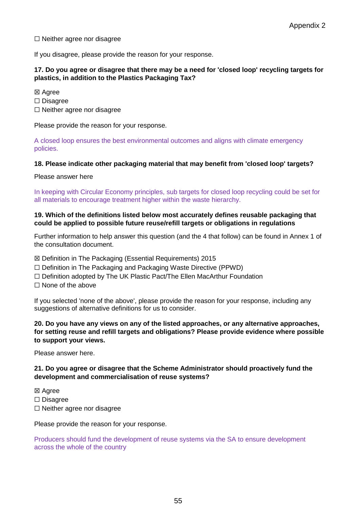☐ Neither agree nor disagree

If you disagree, please provide the reason for your response.

## **17. Do you agree or disagree that there may be a need for 'closed loop' recycling targets for plastics, in addition to the Plastics Packaging Tax?**

⊠ Agree

- ☐ Disagree
- ☐ Neither agree nor disagree

Please provide the reason for your response.

A closed loop ensures the best environmental outcomes and aligns with climate emergency policies.

#### **18. Please indicate other packaging material that may benefit from 'closed loop' targets?**

Please answer here

In keeping with Circular Economy principles, sub targets for closed loop recycling could be set for all materials to encourage treatment higher within the waste hierarchy.

## **19. Which of the definitions listed below most accurately defines reusable packaging that could be applied to possible future reuse/refill targets or obligations in regulations**

Further information to help answer this question (and the 4 that follow) can be found in Annex 1 of the consultation document.

☒ Definition in The Packaging (Essential Requirements) 2015

- ☐ Definition in The Packaging and Packaging Waste Directive (PPWD)
- ☐ Definition adopted by The UK Plastic Pact/The Ellen MacArthur Foundation

☐ None of the above

If you selected 'none of the above', please provide the reason for your response, including any suggestions of alternative definitions for us to consider.

### **20. Do you have any views on any of the listed approaches, or any alternative approaches, for setting reuse and refill targets and obligations? Please provide evidence where possible to support your views.**

Please answer here.

## **21. Do you agree or disagree that the Scheme Administrator should proactively fund the development and commercialisation of reuse systems?**

☒ Agree

- ☐ Disagree
- ☐ Neither agree nor disagree

Please provide the reason for your response.

Producers should fund the development of reuse systems via the SA to ensure development across the whole of the country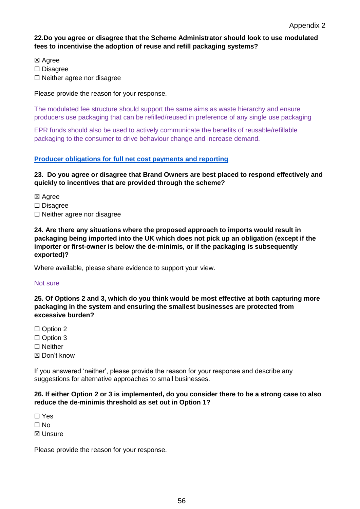## **22.Do you agree or disagree that the Scheme Administrator should look to use modulated fees to incentivise the adoption of reuse and refill packaging systems?**

☒ Agree

☐ Disagree

☐ Neither agree nor disagree

Please provide the reason for your response.

The modulated fee structure should support the same aims as waste hierarchy and ensure producers use packaging that can be refilled/reused in preference of any single use packaging

EPR funds should also be used to actively communicate the benefits of reusable/refillable packaging to the consumer to drive behaviour change and increase demand.

### **Producer obligations for full net cost payments and reporting**

### **23. Do you agree or disagree that Brand Owners are best placed to respond effectively and quickly to incentives that are provided through the scheme?**

☒ Agree

- ☐ Disagree
- ☐ Neither agree nor disagree

**24. Are there any situations where the proposed approach to imports would result in packaging being imported into the UK which does not pick up an obligation (except if the importer or first-owner is below the de-minimis, or if the packaging is subsequently exported)?** 

Where available, please share evidence to support your view.

#### Not sure

**25. Of Options 2 and 3, which do you think would be most effective at both capturing more packaging in the system and ensuring the smallest businesses are protected from excessive burden?** 

□ Option 2

□ Option 3

☐ Neither

☒ Don't know

If you answered 'neither', please provide the reason for your response and describe any suggestions for alternative approaches to small businesses.

### **26. If either Option 2 or 3 is implemented, do you consider there to be a strong case to also reduce the de-minimis threshold as set out in Option 1?**

☐ Yes

☐ No

☒ Unsure

Please provide the reason for your response.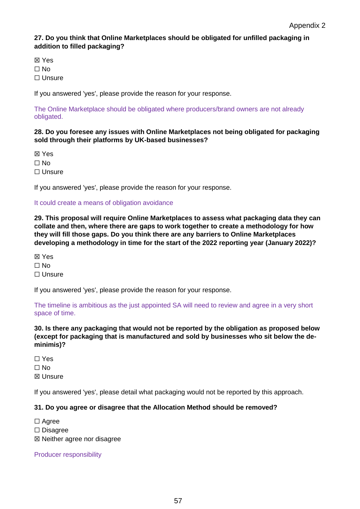## **27. Do you think that Online Marketplaces should be obligated for unfilled packaging in addition to filled packaging?**

☒ Yes

☐ No

☐ Unsure

If you answered 'yes', please provide the reason for your response.

The Online Marketplace should be obligated where producers/brand owners are not already obligated.

## **28. Do you foresee any issues with Online Marketplaces not being obligated for packaging sold through their platforms by UK-based businesses?**

☒ Yes

☐ No

☐ Unsure

If you answered 'yes', please provide the reason for your response.

## It could create a means of obligation avoidance

**29. This proposal will require Online Marketplaces to assess what packaging data they can collate and then, where there are gaps to work together to create a methodology for how they will fill those gaps. Do you think there are any barriers to Online Marketplaces developing a methodology in time for the start of the 2022 reporting year (January 2022)?**

☒ Yes

 $\Box$  No

☐ Unsure

If you answered 'yes', please provide the reason for your response.

The timeline is ambitious as the just appointed SA will need to review and agree in a very short space of time.

## **30. Is there any packaging that would not be reported by the obligation as proposed below (except for packaging that is manufactured and sold by businesses who sit below the deminimis)?**

☐ Yes ☐ No ☒ Unsure

If you answered 'yes', please detail what packaging would not be reported by this approach.

## **31. Do you agree or disagree that the Allocation Method should be removed?**

☐ Agree

☐ Disagree

☒ Neither agree nor disagree

Producer responsibility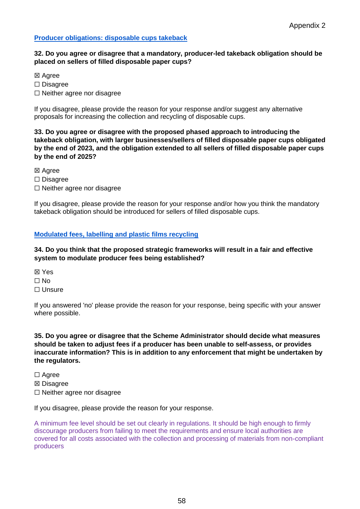### **Producer obligations: disposable cups takeback**

### **32. Do you agree or disagree that a mandatory, producer-led takeback obligation should be placed on sellers of filled disposable paper cups?**

☒ Agree

☐ Disagree

☐ Neither agree nor disagree

If you disagree, please provide the reason for your response and/or suggest any alternative proposals for increasing the collection and recycling of disposable cups.

**33. Do you agree or disagree with the proposed phased approach to introducing the takeback obligation, with larger businesses/sellers of filled disposable paper cups obligated by the end of 2023, and the obligation extended to all sellers of filled disposable paper cups by the end of 2025?** 

☒ Agree

☐ Disagree

☐ Neither agree nor disagree

If you disagree, please provide the reason for your response and/or how you think the mandatory takeback obligation should be introduced for sellers of filled disposable cups.

### **Modulated fees, labelling and plastic films recycling**

### **34. Do you think that the proposed strategic frameworks will result in a fair and effective system to modulate producer fees being established?**

☒ Yes

 $\Box$  No

☐ Unsure

If you answered 'no' please provide the reason for your response, being specific with your answer where possible.

**35. Do you agree or disagree that the Scheme Administrator should decide what measures should be taken to adjust fees if a producer has been unable to self-assess, or provides inaccurate information? This is in addition to any enforcement that might be undertaken by the regulators.** 

□ Agree

☒ Disagree

☐ Neither agree nor disagree

If you disagree, please provide the reason for your response.

A minimum fee level should be set out clearly in regulations. It should be high enough to firmly discourage producers from failing to meet the requirements and ensure local authorities are covered for all costs associated with the collection and processing of materials from non-compliant producers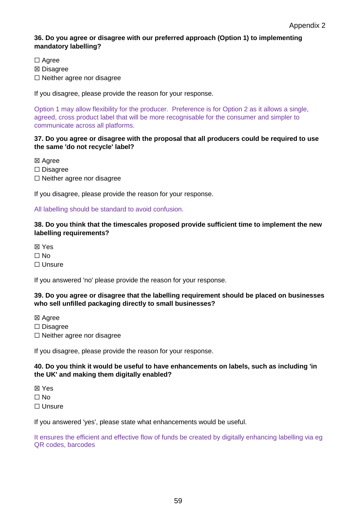### **36. Do you agree or disagree with our preferred approach (Option 1) to implementing mandatory labelling?**

☐ Agree

☒ Disagree

□ Neither agree nor disagree

If you disagree, please provide the reason for your response.

Option 1 may allow flexibility for the producer. Preference is for Option 2 as it allows a single, agreed, cross product label that will be more recognisable for the consumer and simpler to communicate across all platforms.

### **37. Do you agree or disagree with the proposal that all producers could be required to use the same 'do not recycle' label?**

☒ Agree

☐ Disagree

☐ Neither agree nor disagree

If you disagree, please provide the reason for your response.

#### All labelling should be standard to avoid confusion.

### **38. Do you think that the timescales proposed provide sufficient time to implement the new labelling requirements?**

☒ Yes

 $\Box$  No

□ Unsure

If you answered 'no' please provide the reason for your response.

## **39. Do you agree or disagree that the labelling requirement should be placed on businesses who sell unfilled packaging directly to small businesses?**

☒ Agree

☐ Disagree

☐ Neither agree nor disagree

If you disagree, please provide the reason for your response.

### **40. Do you think it would be useful to have enhancements on labels, such as including 'in the UK' and making them digitally enabled?**

☒ Yes

☐ No

☐ Unsure

If you answered 'yes', please state what enhancements would be useful.

It ensures the efficient and effective flow of funds be created by digitally enhancing labelling via eg QR codes, barcodes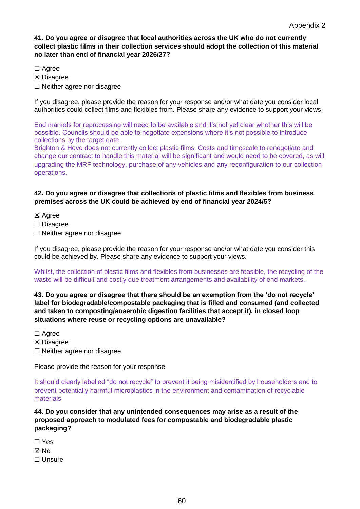**41. Do you agree or disagree that local authorities across the UK who do not currently collect plastic films in their collection services should adopt the collection of this material no later than end of financial year 2026/27?** 

☐ Agree

- ☒ Disagree
- ☐ Neither agree nor disagree

If you disagree, please provide the reason for your response and/or what date you consider local authorities could collect films and flexibles from. Please share any evidence to support your views.

End markets for reprocessing will need to be available and it's not yet clear whether this will be possible. Councils should be able to negotiate extensions where it's not possible to introduce collections by the target date.

Brighton & Hove does not currently collect plastic films. Costs and timescale to renegotiate and change our contract to handle this material will be significant and would need to be covered, as will upgrading the MRF technology, purchase of any vehicles and any reconfiguration to our collection operations.

## **42. Do you agree or disagree that collections of plastic films and flexibles from business premises across the UK could be achieved by end of financial year 2024/5?**

- ☒ Agree
- ☐ Disagree
- ☐ Neither agree nor disagree

If you disagree, please provide the reason for your response and/or what date you consider this could be achieved by. Please share any evidence to support your views.

Whilst, the collection of plastic films and flexibles from businesses are feasible, the recycling of the waste will be difficult and costly due treatment arrangements and availability of end markets.

**43. Do you agree or disagree that there should be an exemption from the 'do not recycle' label for biodegradable/compostable packaging that is filled and consumed (and collected and taken to composting/anaerobic digestion facilities that accept it), in closed loop situations where reuse or recycling options are unavailable?** 

□ Agree

☒ Disagree

☐ Neither agree nor disagree

Please provide the reason for your response.

It should clearly labelled "do not recycle" to prevent it being misidentified by householders and to prevent potentially harmful microplastics in the environment and contamination of recyclable materials.

**44. Do you consider that any unintended consequences may arise as a result of the proposed approach to modulated fees for compostable and biodegradable plastic packaging?** 

☐ Yes ☒ No ☐ Unsure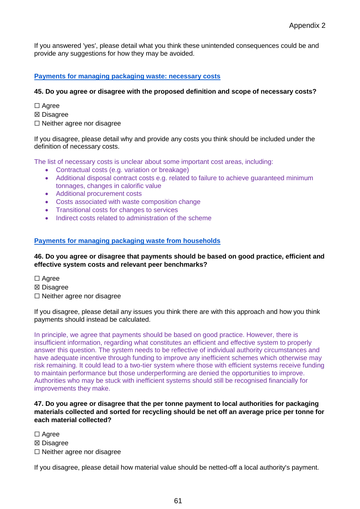If you answered 'yes', please detail what you think these unintended consequences could be and provide any suggestions for how they may be avoided.

## **Payments for managing packaging waste: necessary costs**

## **45. Do you agree or disagree with the proposed definition and scope of necessary costs?**

- □ Agree
- ☒ Disagree
- ☐ Neither agree nor disagree

If you disagree, please detail why and provide any costs you think should be included under the definition of necessary costs.

The list of necessary costs is unclear about some important cost areas, including:

- Contractual costs (e.g. variation or breakage)
- Additional disposal contract costs e.g. related to failure to achieve guaranteed minimum tonnages, changes in calorific value
- Additional procurement costs
- Costs associated with waste composition change
- Transitional costs for changes to services
- Indirect costs related to administration of the scheme

### **Payments for managing packaging waste from households**

## **46. Do you agree or disagree that payments should be based on good practice, efficient and effective system costs and relevant peer benchmarks?**

- ☐ Agree
- ☒ Disagree
- ☐ Neither agree nor disagree

If you disagree, please detail any issues you think there are with this approach and how you think payments should instead be calculated.

In principle, we agree that payments should be based on good practice. However, there is insufficient information, regarding what constitutes an efficient and effective system to properly answer this question. The system needs to be reflective of individual authority circumstances and have adequate incentive through funding to improve any inefficient schemes which otherwise may risk remaining. It could lead to a two-tier system where those with efficient systems receive funding to maintain performance but those underperforming are denied the opportunities to improve. Authorities who may be stuck with inefficient systems should still be recognised financially for improvements they make.

### **47. Do you agree or disagree that the per tonne payment to local authorities for packaging materials collected and sorted for recycling should be net off an average price per tonne for each material collected?**

□ Agree

- ☒ Disagree
- ☐ Neither agree nor disagree

If you disagree, please detail how material value should be netted-off a local authority's payment.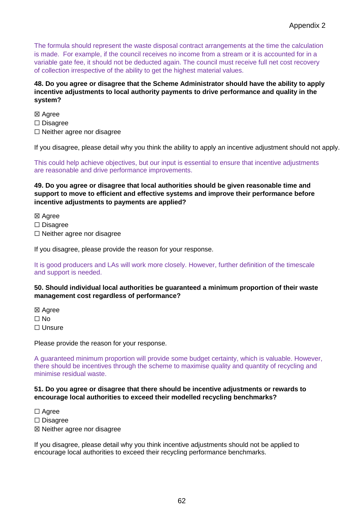The formula should represent the waste disposal contract arrangements at the time the calculation is made. For example, if the council receives no income from a stream or it is accounted for in a variable gate fee, it should not be deducted again. The council must receive full net cost recovery of collection irrespective of the ability to get the highest material values.

**48. Do you agree or disagree that the Scheme Administrator should have the ability to apply incentive adjustments to local authority payments to drive performance and quality in the system?** 

☒ Agree ☐ Disagree ☐ Neither agree nor disagree

If you disagree, please detail why you think the ability to apply an incentive adjustment should not apply.

This could help achieve objectives, but our input is essential to ensure that incentive adjustments are reasonable and drive performance improvements.

**49. Do you agree or disagree that local authorities should be given reasonable time and support to move to efficient and effective systems and improve their performance before incentive adjustments to payments are applied?** 

☒ Agree

☐ Disagree

☐ Neither agree nor disagree

If you disagree, please provide the reason for your response.

It is good producers and LAs will work more closely. However, further definition of the timescale and support is needed.

**50. Should individual local authorities be guaranteed a minimum proportion of their waste management cost regardless of performance?** 

☒ Agree  $\Box$  No ☐ Unsure

Please provide the reason for your response.

A guaranteed minimum proportion will provide some budget certainty, which is valuable. However, there should be incentives through the scheme to maximise quality and quantity of recycling and minimise residual waste.

### **51. Do you agree or disagree that there should be incentive adjustments or rewards to encourage local authorities to exceed their modelled recycling benchmarks?**

☐ Agree

☐ Disagree

☒ Neither agree nor disagree

If you disagree, please detail why you think incentive adjustments should not be applied to encourage local authorities to exceed their recycling performance benchmarks.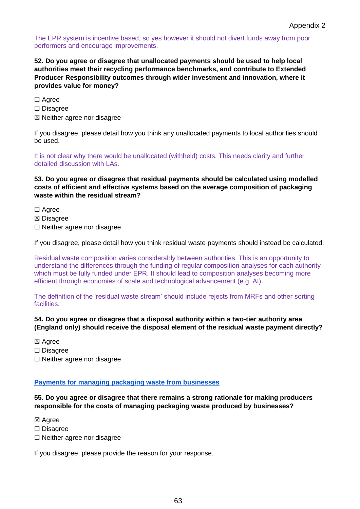The EPR system is incentive based, so yes however it should not divert funds away from poor performers and encourage improvements.

**52. Do you agree or disagree that unallocated payments should be used to help local authorities meet their recycling performance benchmarks, and contribute to Extended Producer Responsibility outcomes through wider investment and innovation, where it provides value for money?** 

□ Agree

- ☐ Disagree
- ☒ Neither agree nor disagree

If you disagree, please detail how you think any unallocated payments to local authorities should be used.

It is not clear why there would be unallocated (withheld) costs. This needs clarity and further detailed discussion with LAs.

**53. Do you agree or disagree that residual payments should be calculated using modelled costs of efficient and effective systems based on the average composition of packaging waste within the residual stream?**

□ Agree

- ☒ Disagree
- □ Neither agree nor disagree

If you disagree, please detail how you think residual waste payments should instead be calculated.

Residual waste composition varies considerably between authorities. This is an opportunity to understand the differences through the funding of regular composition analyses for each authority which must be fully funded under EPR. It should lead to composition analyses becoming more efficient through economies of scale and technological advancement (e.g. AI).

The definition of the 'residual waste stream' should include rejects from MRFs and other sorting facilities.

## **54. Do you agree or disagree that a disposal authority within a two-tier authority area (England only) should receive the disposal element of the residual waste payment directly?**

☒ Agree

- ☐ Disagree
- ☐ Neither agree nor disagree

### **Payments for managing packaging waste from businesses**

### **55. Do you agree or disagree that there remains a strong rationale for making producers responsible for the costs of managing packaging waste produced by businesses?**

☒ Agree

- ☐ Disagree
- ☐ Neither agree nor disagree

If you disagree, please provide the reason for your response.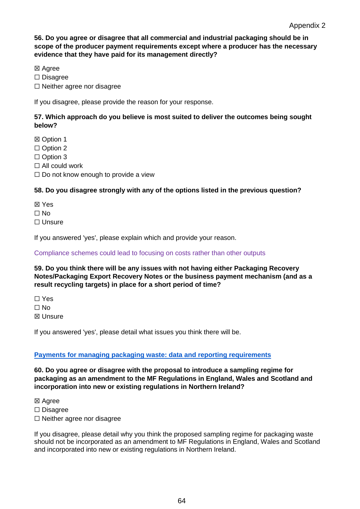**56. Do you agree or disagree that all commercial and industrial packaging should be in scope of the producer payment requirements except where a producer has the necessary evidence that they have paid for its management directly?** 

☒ Agree

☐ Disagree

☐ Neither agree nor disagree

If you disagree, please provide the reason for your response.

## **57. Which approach do you believe is most suited to deliver the outcomes being sought below?**

☒ Option 1

□ Option 2

□ Option 3

 $\Box$  All could work

 $\Box$  Do not know enough to provide a view

## **58. Do you disagree strongly with any of the options listed in the previous question?**

☒ Yes

☐ No

☐ Unsure

If you answered 'yes', please explain which and provide your reason.

Compliance schemes could lead to focusing on costs rather than other outputs

## **59. Do you think there will be any issues with not having either Packaging Recovery Notes/Packaging Export Recovery Notes or the business payment mechanism (and as a result recycling targets) in place for a short period of time?**

☐ Yes  $\Box$  No ☒ Unsure

If you answered 'yes', please detail what issues you think there will be.

## **Payments for managing packaging waste: data and reporting requirements**

**60. Do you agree or disagree with the proposal to introduce a sampling regime for packaging as an amendment to the MF Regulations in England, Wales and Scotland and incorporation into new or existing regulations in Northern Ireland?** 

⊠ Agree

☐ Disagree

☐ Neither agree nor disagree

If you disagree, please detail why you think the proposed sampling regime for packaging waste should not be incorporated as an amendment to MF Regulations in England, Wales and Scotland and incorporated into new or existing regulations in Northern Ireland.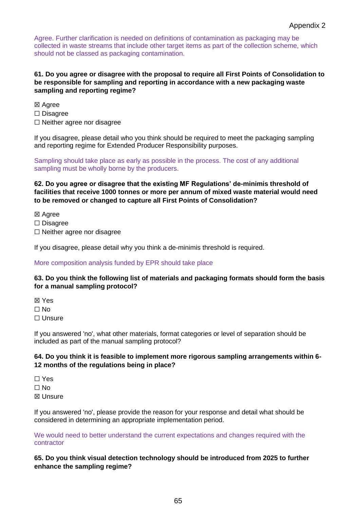Agree. Further clarification is needed on definitions of contamination as packaging may be collected in waste streams that include other target items as part of the collection scheme, which should not be classed as packaging contamination.

## **61. Do you agree or disagree with the proposal to require all First Points of Consolidation to be responsible for sampling and reporting in accordance with a new packaging waste sampling and reporting regime?**

☒ Agree

☐ Disagree

☐ Neither agree nor disagree

If you disagree, please detail who you think should be required to meet the packaging sampling and reporting regime for Extended Producer Responsibility purposes.

Sampling should take place as early as possible in the process. The cost of any additional sampling must be wholly borne by the producers.

**62. Do you agree or disagree that the existing MF Regulations' de-minimis threshold of facilities that receive 1000 tonnes or more per annum of mixed waste material would need to be removed or changed to capture all First Points of Consolidation?** 

- ☒ Agree
- ☐ Disagree
- ☐ Neither agree nor disagree

If you disagree, please detail why you think a de-minimis threshold is required.

### More composition analysis funded by EPR should take place

### **63. Do you think the following list of materials and packaging formats should form the basis for a manual sampling protocol?**

☒ Yes

☐ No

☐ Unsure

If you answered 'no', what other materials, format categories or level of separation should be included as part of the manual sampling protocol?

### **64. Do you think it is feasible to implement more rigorous sampling arrangements within 6- 12 months of the regulations being in place?**

☐ Yes

☐ No

☒ Unsure

If you answered 'no', please provide the reason for your response and detail what should be considered in determining an appropriate implementation period.

We would need to better understand the current expectations and changes required with the contractor

**65. Do you think visual detection technology should be introduced from 2025 to further enhance the sampling regime?**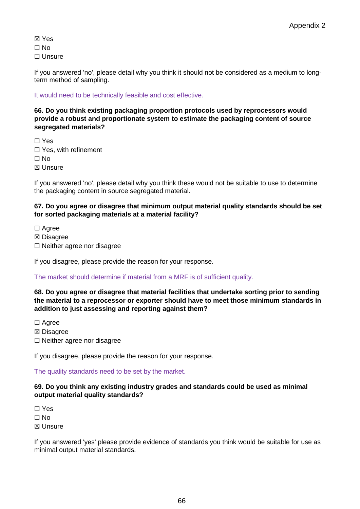☒ Yes ☐ No ☐ Unsure

If you answered 'no', please detail why you think it should not be considered as a medium to longterm method of sampling.

It would need to be technically feasible and cost effective.

**66. Do you think existing packaging proportion protocols used by reprocessors would provide a robust and proportionate system to estimate the packaging content of source segregated materials?** 

☐ Yes □ Yes, with refinement  $\Box$  No ☒ Unsure

If you answered 'no', please detail why you think these would not be suitable to use to determine the packaging content in source segregated material.

## **67. Do you agree or disagree that minimum output material quality standards should be set for sorted packaging materials at a material facility?**

□ Agree

- ☒ Disagree
- ☐ Neither agree nor disagree

If you disagree, please provide the reason for your response.

The market should determine if material from a MRF is of sufficient quality.

## **68. Do you agree or disagree that material facilities that undertake sorting prior to sending the material to a reprocessor or exporter should have to meet those minimum standards in addition to just assessing and reporting against them?**

☐ Agree

- ☒ Disagree
- ☐ Neither agree nor disagree

If you disagree, please provide the reason for your response.

The quality standards need to be set by the market.

## **69. Do you think any existing industry grades and standards could be used as minimal output material quality standards?**

☐ Yes

☐ No

☒ Unsure

If you answered 'yes' please provide evidence of standards you think would be suitable for use as minimal output material standards.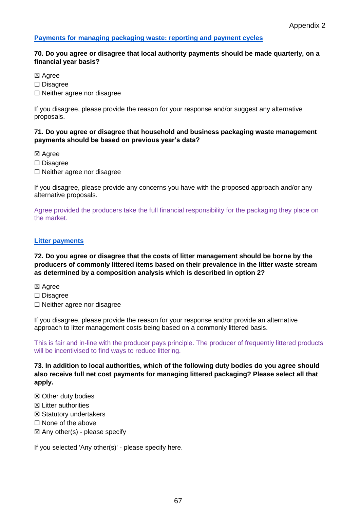### **Payments for managing packaging waste: reporting and payment cycles**

### **70. Do you agree or disagree that local authority payments should be made quarterly, on a financial year basis?**

- ☒ Agree
- ☐ Disagree
- ☐ Neither agree nor disagree

If you disagree, please provide the reason for your response and/or suggest any alternative proposals.

### **71. Do you agree or disagree that household and business packaging waste management payments should be based on previous year's data?**

☒ Agree

☐ Disagree

☐ Neither agree nor disagree

If you disagree, please provide any concerns you have with the proposed approach and/or any alternative proposals.

Agree provided the producers take the full financial responsibility for the packaging they place on the market.

#### **Litter payments**

### **72. Do you agree or disagree that the costs of litter management should be borne by the producers of commonly littered items based on their prevalence in the litter waste stream as determined by a composition analysis which is described in option 2?**

- ☒ Agree
- ☐ Disagree
- ☐ Neither agree nor disagree

If you disagree, please provide the reason for your response and/or provide an alternative approach to litter management costs being based on a commonly littered basis.

This is fair and in-line with the producer pays principle. The producer of frequently littered products will be incentivised to find ways to reduce littering.

**73. In addition to local authorities, which of the following duty bodies do you agree should also receive full net cost payments for managing littered packaging? Please select all that apply.** 

- ☒ Other duty bodies
- ☒ Litter authorities
- ☒ Statutory undertakers
- ☐ None of the above
- $\boxtimes$  Any other(s) please specify

If you selected 'Any other(s)' - please specify here.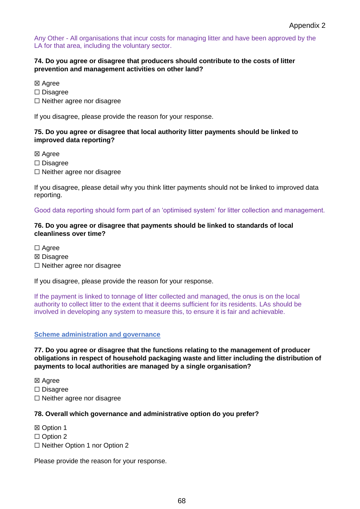Any Other - All organisations that incur costs for managing litter and have been approved by the LA for that area, including the voluntary sector.

## **74. Do you agree or disagree that producers should contribute to the costs of litter prevention and management activities on other land?**

☒ Agree

☐ Disagree

☐ Neither agree nor disagree

If you disagree, please provide the reason for your response.

### **75. Do you agree or disagree that local authority litter payments should be linked to improved data reporting?**

☒ Agree

☐ Disagree

☐ Neither agree nor disagree

If you disagree, please detail why you think litter payments should not be linked to improved data reporting.

Good data reporting should form part of an 'optimised system' for litter collection and management.

### **76. Do you agree or disagree that payments should be linked to standards of local cleanliness over time?**

☐ Agree

☒ Disagree

☐ Neither agree nor disagree

If you disagree, please provide the reason for your response.

If the payment is linked to tonnage of litter collected and managed, the onus is on the local authority to collect litter to the extent that it deems sufficient for its residents. LAs should be involved in developing any system to measure this, to ensure it is fair and achievable.

#### **Scheme administration and governance**

**77. Do you agree or disagree that the functions relating to the management of producer obligations in respect of household packaging waste and litter including the distribution of payments to local authorities are managed by a single organisation?** 

☒ Agree

☐ Disagree

 $\Box$  Neither agree nor disagree

### **78. Overall which governance and administrative option do you prefer?**

☒ Option 1

- □ Option 2
- ☐ Neither Option 1 nor Option 2

Please provide the reason for your response.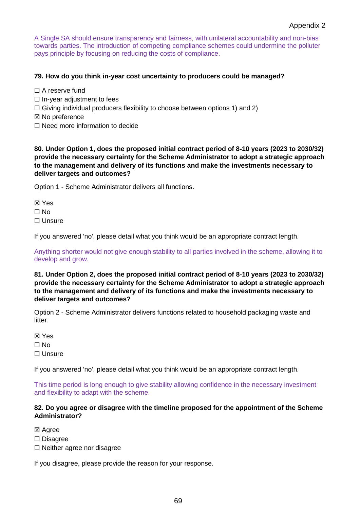## Appendix 2

A Single SA should ensure transparency and fairness, with unilateral accountability and non-bias towards parties. The introduction of competing compliance schemes could undermine the polluter pays principle by focusing on reducing the costs of compliance.

## **79. How do you think in-year cost uncertainty to producers could be managed?**

- ☐ A reserve fund
- $\Box$  In-year adjustment to fees
- $\Box$  Giving individual producers flexibility to choose between options 1) and 2)
- ☒ No preference
- ☐ Need more information to decide

**80. Under Option 1, does the proposed initial contract period of 8-10 years (2023 to 2030/32) provide the necessary certainty for the Scheme Administrator to adopt a strategic approach to the management and delivery of its functions and make the investments necessary to deliver targets and outcomes?** 

Option 1 - Scheme Administrator delivers all functions.

- ☒ Yes
- $\Box$  No
- □ Unsure

If you answered 'no', please detail what you think would be an appropriate contract length.

Anything shorter would not give enough stability to all parties involved in the scheme, allowing it to develop and grow.

**81. Under Option 2, does the proposed initial contract period of 8-10 years (2023 to 2030/32) provide the necessary certainty for the Scheme Administrator to adopt a strategic approach to the management and delivery of its functions and make the investments necessary to deliver targets and outcomes?** 

Option 2 - Scheme Administrator delivers functions related to household packaging waste and litter.

☒ Yes ☐ No ☐ Unsure

If you answered 'no', please detail what you think would be an appropriate contract length.

This time period is long enough to give stability allowing confidence in the necessary investment and flexibility to adapt with the scheme.

## **82. Do you agree or disagree with the timeline proposed for the appointment of the Scheme Administrator?**

☒ Agree

- ☐ Disagree
- ☐ Neither agree nor disagree

If you disagree, please provide the reason for your response.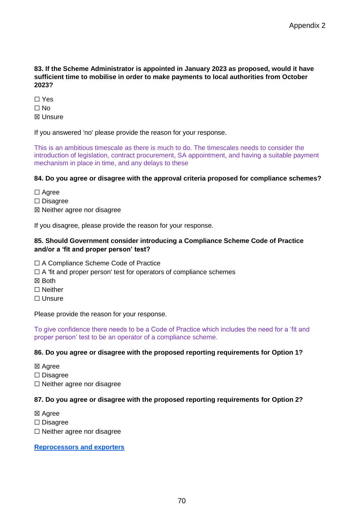**83. If the Scheme Administrator is appointed in January 2023 as proposed, would it have sufficient time to mobilise in order to make payments to local authorities from October 2023?** 

☐ Yes

 $\Box$  No

☒ Unsure

If you answered 'no' please provide the reason for your response.

This is an ambitious timescale as there is much to do. The timescales needs to consider the introduction of legislation, contract procurement, SA appointment, and having a suitable payment mechanism in place in time, and any delays to these

# **84. Do you agree or disagree with the approval criteria proposed for compliance schemes?**

☐ Agree ☐ Disagree ☒ Neither agree nor disagree

If you disagree, please provide the reason for your response.

## **85. Should Government consider introducing a Compliance Scheme Code of Practice and/or a 'fit and proper person' test?**

- ☐ A Compliance Scheme Code of Practice
- $\Box$  A 'fit and proper person' test for operators of compliance schemes
- ☒ Both
- ☐ Neither
- ☐ Unsure

Please provide the reason for your response.

To give confidence there needs to be a Code of Practice which includes the need for a 'fit and proper person' test to be an operator of a compliance scheme.

## **86. Do you agree or disagree with the proposed reporting requirements for Option 1?**

- ☒ Agree
- ☐ Disagree
- ☐ Neither agree nor disagree

# **87. Do you agree or disagree with the proposed reporting requirements for Option 2?**

- ⊠ Agree
- ☐ Disagree
- ☐ Neither agree nor disagree

## **Reprocessors and exporters**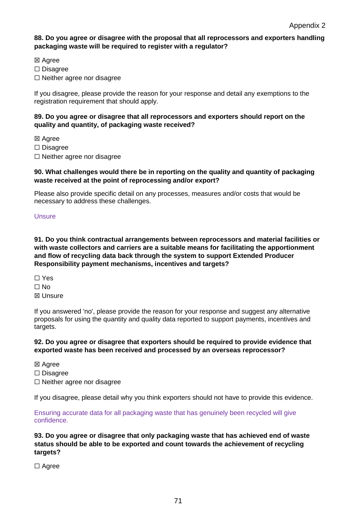## **88. Do you agree or disagree with the proposal that all reprocessors and exporters handling packaging waste will be required to register with a regulator?**

☒ Agree

- ☐ Disagree
- ☐ Neither agree nor disagree

If you disagree, please provide the reason for your response and detail any exemptions to the registration requirement that should apply.

### **89. Do you agree or disagree that all reprocessors and exporters should report on the quality and quantity, of packaging waste received?**

☒ Agree

☐ Disagree

☐ Neither agree nor disagree

### **90. What challenges would there be in reporting on the quality and quantity of packaging waste received at the point of reprocessing and/or export?**

Please also provide specific detail on any processes, measures and/or costs that would be necessary to address these challenges.

### Unsure

**91. Do you think contractual arrangements between reprocessors and material facilities or with waste collectors and carriers are a suitable means for facilitating the apportionment and flow of recycling data back through the system to support Extended Producer Responsibility payment mechanisms, incentives and targets?** 

- ☐ Yes
- ☐ No
- ☒ Unsure

If you answered 'no', please provide the reason for your response and suggest any alternative proposals for using the quantity and quality data reported to support payments, incentives and targets.

### **92. Do you agree or disagree that exporters should be required to provide evidence that exported waste has been received and processed by an overseas reprocessor?**

- ☒ Agree
- ☐ Disagree
- ☐ Neither agree nor disagree

If you disagree, please detail why you think exporters should not have to provide this evidence.

Ensuring accurate data for all packaging waste that has genuinely been recycled will give confidence.

## **93. Do you agree or disagree that only packaging waste that has achieved end of waste status should be able to be exported and count towards the achievement of recycling targets?**

☐ Agree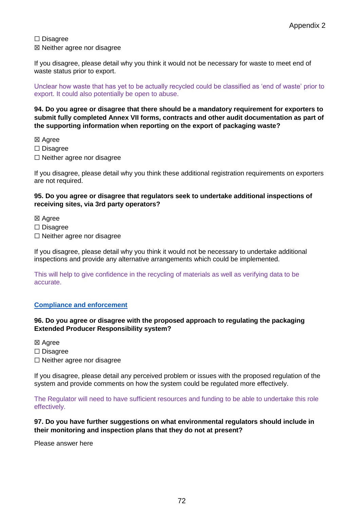☐ Disagree ☒ Neither agree nor disagree

If you disagree, please detail why you think it would not be necessary for waste to meet end of waste status prior to export.

Unclear how waste that has yet to be actually recycled could be classified as 'end of waste' prior to export. It could also potentially be open to abuse.

**94. Do you agree or disagree that there should be a mandatory requirement for exporters to submit fully completed Annex VII forms, contracts and other audit documentation as part of the supporting information when reporting on the export of packaging waste?** 

☒ Agree

- ☐ Disagree
- ☐ Neither agree nor disagree

If you disagree, please detail why you think these additional registration requirements on exporters are not required.

## **95. Do you agree or disagree that regulators seek to undertake additional inspections of receiving sites, via 3rd party operators?**

☒ Agree

- ☐ Disagree
- ☐ Neither agree nor disagree

If you disagree, please detail why you think it would not be necessary to undertake additional inspections and provide any alternative arrangements which could be implemented.

This will help to give confidence in the recycling of materials as well as verifying data to be accurate.

## **Compliance and enforcement**

## **96. Do you agree or disagree with the proposed approach to regulating the packaging Extended Producer Responsibility system?**

☒ Agree

☐ Disagree

☐ Neither agree nor disagree

If you disagree, please detail any perceived problem or issues with the proposed regulation of the system and provide comments on how the system could be regulated more effectively.

The Regulator will need to have sufficient resources and funding to be able to undertake this role effectively.

### **97. Do you have further suggestions on what environmental regulators should include in their monitoring and inspection plans that they do not at present?**

Please answer here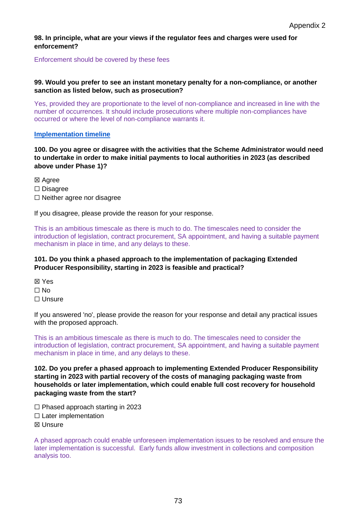#### **98. In principle, what are your views if the regulator fees and charges were used for enforcement?**

Enforcement should be covered by these fees

### **99. Would you prefer to see an instant monetary penalty for a non-compliance, or another sanction as listed below, such as prosecution?**

Yes, provided they are proportionate to the level of non-compliance and increased in line with the number of occurrences. It should include prosecutions where multiple non-compliances have occurred or where the level of non-compliance warrants it.

### **Implementation timeline**

**100. Do you agree or disagree with the activities that the Scheme Administrator would need to undertake in order to make initial payments to local authorities in 2023 (as described above under Phase 1)?** 

⊠ Agree

- ☐ Disagree
- ☐ Neither agree nor disagree

If you disagree, please provide the reason for your response.

This is an ambitious timescale as there is much to do. The timescales need to consider the introduction of legislation, contract procurement, SA appointment, and having a suitable payment mechanism in place in time, and any delays to these.

## **101. Do you think a phased approach to the implementation of packaging Extended Producer Responsibility, starting in 2023 is feasible and practical?**

☒ Yes

☐ No

☐ Unsure

If you answered 'no', please provide the reason for your response and detail any practical issues with the proposed approach.

This is an ambitious timescale as there is much to do. The timescales need to consider the introduction of legislation, contract procurement, SA appointment, and having a suitable payment mechanism in place in time, and any delays to these.

**102. Do you prefer a phased approach to implementing Extended Producer Responsibility starting in 2023 with partial recovery of the costs of managing packaging waste from households or later implementation, which could enable full cost recovery for household packaging waste from the start?** 

☐ Phased approach starting in 2023

□ Later implementation

☒ Unsure

A phased approach could enable unforeseen implementation issues to be resolved and ensure the later implementation is successful. Early funds allow investment in collections and composition analysis too.